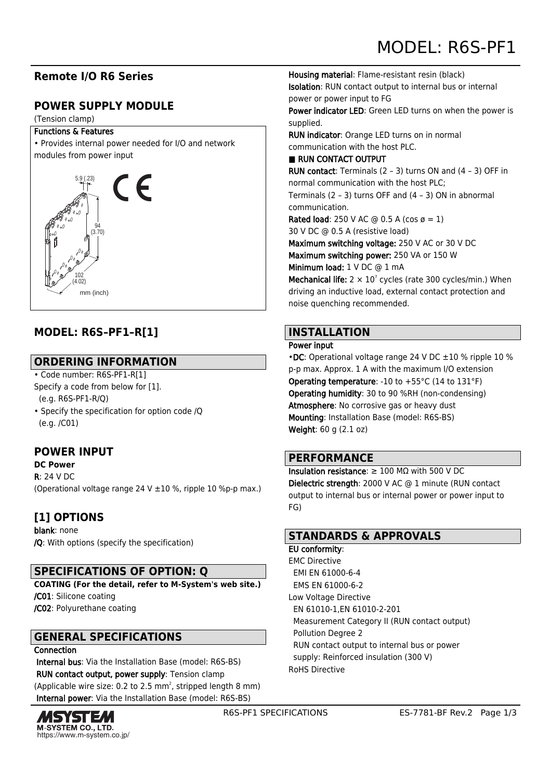# **Remote I/O R6 Series**

# **POWER SUPPLY MODULE**

#### (Tension clamp)

#### Functions & Features

• Provides internal power needed for I/O and network modules from power input



# **MODEL: R6S–PF1–R[1]**

## **ORDERING INFORMATION**

- Code number: R6S-PF1-R[1] Specify a code from below for [1]. (e.g. R6S-PF1-R/Q)
- Specify the specification for option code /Q (e.g. /C01)

# **POWER INPUT**

#### **DC Power**

 $R: 24 V D C$ (Operational voltage range 24 V ±10 %, ripple 10 %p-p max.)

# **[1] OPTIONS**

blank: none /Q: With options (specify the specification)

## **SPECIFICATIONS OF OPTION: Q**

**COATING (For the detail, refer to M-System's web site.)** /C01: Silicone coating /C02: Polyurethane coating

## **GENERAL SPECIFICATIONS**

#### Connection

 Internal bus: Via the Installation Base (model: R6S-BS) RUN contact output, power supply: Tension clamp (Applicable wire size: 0.2 to 2.5 mm<sup>2</sup>, stripped length 8 mm) Internal power: Via the Installation Base (model: R6S-BS)



Housing material: Flame-resistant resin (black) Isolation: RUN contact output to internal bus or internal power or power input to FG Power indicator LED: Green LED turns on when the power is

supplied.

RUN indicator: Orange LED turns on in normal communication with the host PLC.

■ RUN CONTACT OUTPUT

RUN contact: Terminals (2 – 3) turns ON and (4 – 3) OFF in normal communication with the host PLC; Terminals (2 – 3) turns OFF and (4 – 3) ON in abnormal communication.

Rated load: 250 V AC  $\omega$  0.5 A (cos  $\varnothing$  = 1)

30 V DC @ 0.5 A (resistive load)

Maximum switching voltage: 250 V AC or 30 V DC Maximum switching power: 250 VA or 150 W Minimum load: 1 V DC @ 1 mA

**Mechanical life:**  $2 \times 10^7$  cycles (rate 300 cycles/min.) When driving an inductive load, external contact protection and noise quenching recommended.

## **INSTALLATION**

#### Power input

•DC: Operational voltage range 24 V DC ±10 % ripple 10 % p-p max. Approx. 1 A with the maximum I/O extension **Operating temperature: -10 to +55 °C (14 to 131 °F)** Operating humidity: 30 to 90 %RH (non-condensing) Atmosphere: No corrosive gas or heavy dust Mounting: Installation Base (model: R6S-BS) Weight: 60 g (2.1 oz)

## **PERFORMANCE**

Insulation resistance: ≥ 100 MΩ with 500 V DC Dielectric strength: 2000 V AC @ 1 minute (RUN contact output to internal bus or internal power or power input to FG)

### **STANDARDS & APPROVALS**

EU conformity: EMC Directive EMI EN 61000-6-4 EMS EN 61000-6-2 Low Voltage Directive EN 61010-1,EN 61010-2-201 Measurement Category II (RUN contact output) Pollution Degree 2 RUN contact output to internal bus or power supply: Reinforced insulation (300 V) RoHS Directive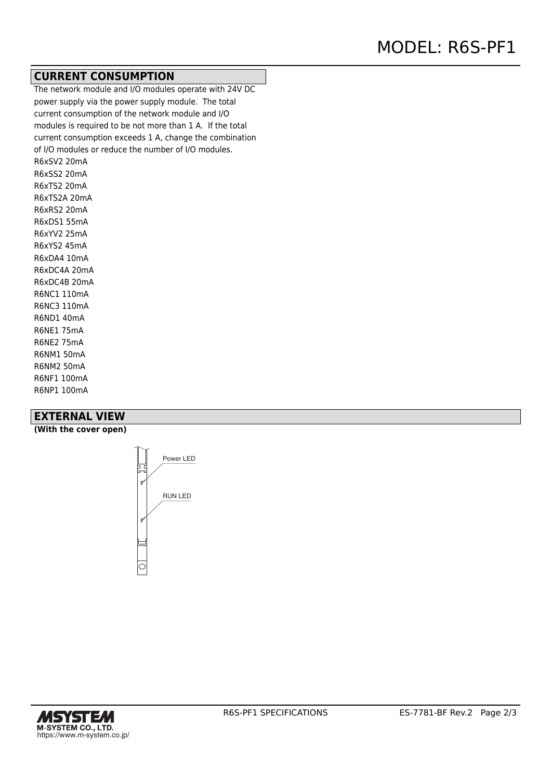### **CURRENT CONSUMPTION**

The network module and I/O modules operate with 24V DC power supply via the power supply module. The total current consumption of the network module and I/O modules is required to be not more than 1 A. If the total current consumption exceeds 1 A, change the combination of I/O modules or reduce the number of I/O modules. R6xSV2 20mA R6xSS2 20mA R6xTS2 20mA R6xTS2A 20mA R6xRS2 20mA R6xDS1 55mA R6xYV2 25mA R6xYS2 45mA R6xDA4 10mA R6xDC4A 20mA R6xDC4B 20mA R6NC1 110mA R6NC3 110mA R6ND1 40mA R6NE1 75mA R6NE2 75mA R6NM1 50mA R6NM2 50mA R6NF1 100mA

#### **EXTERNAL VIEW**

R6NP1 100mA

**(With the cover open)**